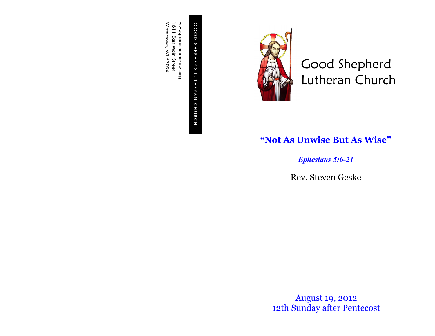G O O D S H E P H E R D L U T H E R GOOD SHEPHERD LUTHERAN CHURCH C H U R C H

www.goodshepherdwi.org<br>1611 East Main Street<br>Watertown, WI 53094 Watertown, WI 53094 www.goodshepherdwi.org 1611 East Main Street



Good Shepherd Lutheran Church

## **"Not As Unwise But As Wise"**

*Ephesians 5:6-21*

Rev. Steven Geske

August 19, 2012 12th Sunday after Pentecost